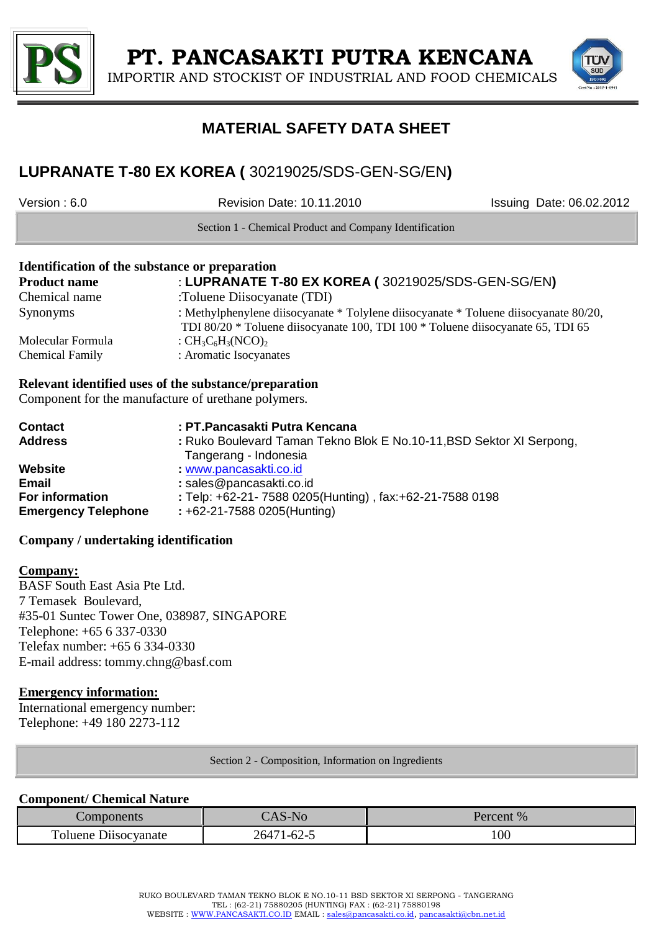

IMPORTIR AND STOCKIST OF INDUSTRIAL AND FOOD CHEMICALS



# **MATERIAL SAFETY DATA SHEET**

## **LUPRANATE T-80 EX KOREA (** 30219025/SDS-GEN-SG/EN**)**

Version : 6.0 Revision Date: 10.11.2010 Issuing Date: 06.02.2012

Section 1 - Chemical Product and Company Identification

## **Identification of the substance or preparation Product name** : **LUPRANATE T-80 EX KOREA (** 30219025/SDS-GEN-SG/EN**)** Chemical name :Toluene Diisocyanate (TDI) Synonyms : Methylphenylene diisocyanate \* Tolylene diisocyanate \* Toluene diisocyanate 80/20, TDI 80/20 \* Toluene diisocyanate 100, TDI 100 \* Toluene diisocyanate 65, TDI 65 Molecular Formula :  $CH_3C_6H_3(NCO)$ <sub>2</sub> Chemical Family : Aromatic Isocyanates

## **Relevant identified uses of the substance/preparation**

Component for the manufacture of urethane polymers.

| <b>Contact</b>             | : PT.Pancasakti Putra Kencana                                        |
|----------------------------|----------------------------------------------------------------------|
| <b>Address</b>             | : Ruko Boulevard Taman Tekno Blok E No.10-11, BSD Sektor XI Serpong, |
|                            | Tangerang - Indonesia                                                |
| Website                    | www.pancasakti.co.id                                                 |
| <b>Email</b>               | : sales@pancasakti.co.id                                             |
| <b>For information</b>     | : Telp: +62-21- 7588 0205(Hunting), fax: +62-21-7588 0198            |
| <b>Emergency Telephone</b> | $: +62 - 21 - 75880205$ (Hunting)                                    |

## **Company / undertaking identification**

## **Company:**

BASF South East Asia Pte Ltd. 7 Temasek Boulevard, #35-01 Suntec Tower One, 038987, SINGAPORE Telephone: +65 6 337-0330 Telefax number: +65 6 334-0330 E-mail address: tommy.chng@basf.com

## **Emergency information:**

International emergency number: Telephone: +49 180 2273-112

Section 2 - Composition, Information on Ingredients

## **Component/ Chemical Nature**

| Components                               | S-No                  | $\frac{9}{6}$<br>Percent |
|------------------------------------------|-----------------------|--------------------------|
| $\mathbf{r}$<br>'oluene i<br>Dusocyanate | $1 - 62 - 5$<br>26471 | 100                      |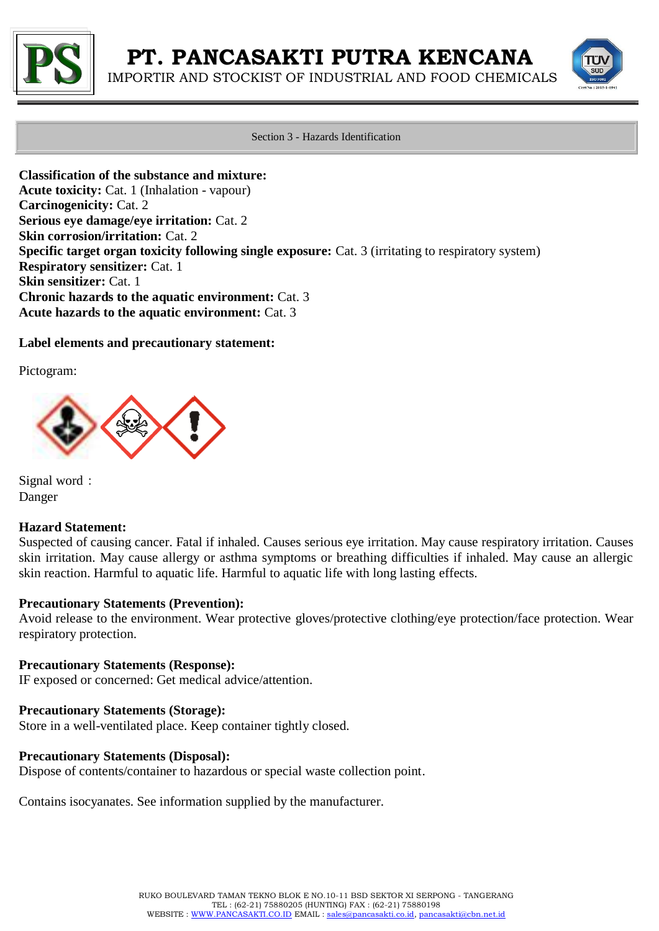

IMPORTIR AND STOCKIST OF INDUSTRIAL AND FOOD CHEMICALS



Section 3 - Hazards Identification

**Classification of the substance and mixture: Acute toxicity:** Cat. 1 (Inhalation - vapour) **Carcinogenicity:** Cat. 2 **Serious eye damage/eye irritation:** Cat. 2 **Skin corrosion/irritation:** Cat. 2 **Specific target organ toxicity following single exposure:** Cat. 3 (irritating to respiratory system) **Respiratory sensitizer:** Cat. 1 **Skin sensitizer:** Cat. 1 **Chronic hazards to the aquatic environment:** Cat. 3 **Acute hazards to the aquatic environment:** Cat. 3

## **Label elements and precautionary statement:**

Pictogram:



Signal word: Danger

## **Hazard Statement:**

Suspected of causing cancer. Fatal if inhaled. Causes serious eye irritation. May cause respiratory irritation. Causes skin irritation. May cause allergy or asthma symptoms or breathing difficulties if inhaled. May cause an allergic skin reaction. Harmful to aquatic life. Harmful to aquatic life with long lasting effects.

## **Precautionary Statements (Prevention):**

Avoid release to the environment. Wear protective gloves/protective clothing/eye protection/face protection. Wear respiratory protection.

## **Precautionary Statements (Response):**

IF exposed or concerned: Get medical advice/attention.

## **Precautionary Statements (Storage):**

Store in a well-ventilated place. Keep container tightly closed.

## **Precautionary Statements (Disposal):**

Dispose of contents/container to hazardous or special waste collection point.

Contains isocyanates. See information supplied by the manufacturer.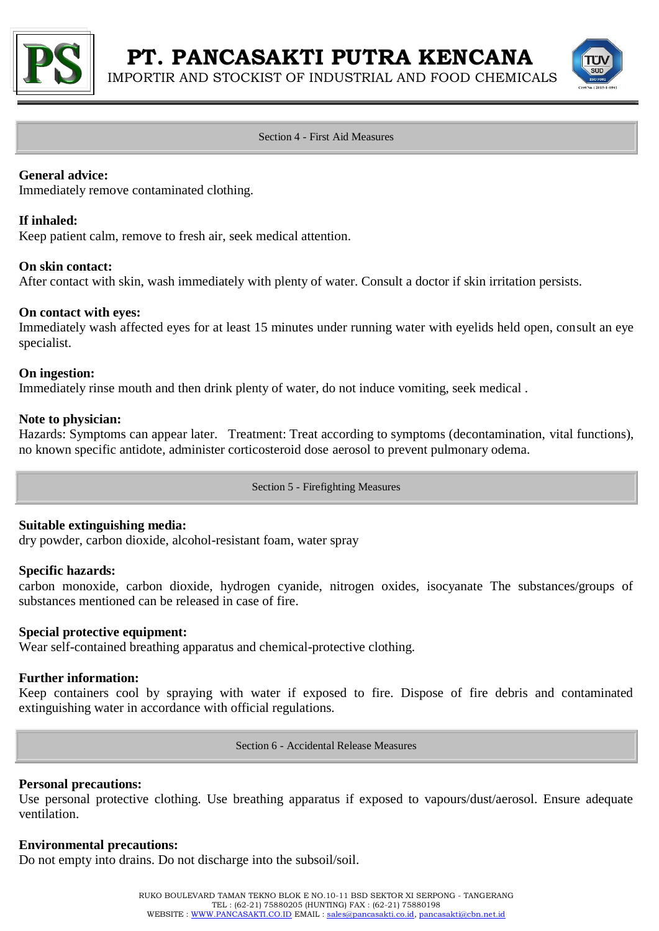

IMPORTIR AND STOCKIST OF INDUSTRIAL AND FOOD CHEMICALS



#### Section 4 - First Aid Measures

## **General advice:**

Immediately remove contaminated clothing.

#### **If inhaled:**

Keep patient calm, remove to fresh air, seek medical attention.

## **On skin contact:**

After contact with skin, wash immediately with plenty of water. Consult a doctor if skin irritation persists.

#### **On contact with eyes:**

Immediately wash affected eyes for at least 15 minutes under running water with eyelids held open, consult an eye specialist.

#### **On ingestion:**

Immediately rinse mouth and then drink plenty of water, do not induce vomiting, seek medical .

## **Note to physician:**

Hazards: Symptoms can appear later. Treatment: Treat according to symptoms (decontamination, vital functions), no known specific antidote, administer corticosteroid dose aerosol to prevent pulmonary odema.

Section 5 - Firefighting Measures

## **Suitable extinguishing media:**

dry powder, carbon dioxide, alcohol-resistant foam, water spray

#### **Specific hazards:**

carbon monoxide, carbon dioxide, hydrogen cyanide, nitrogen oxides, isocyanate The substances/groups of substances mentioned can be released in case of fire.

#### **Special protective equipment:**

Wear self-contained breathing apparatus and chemical-protective clothing.

## **Further information:**

Keep containers cool by spraying with water if exposed to fire. Dispose of fire debris and contaminated extinguishing water in accordance with official regulations.

Section 6 - Accidental Release Measures

#### **Personal precautions:**

Use personal protective clothing. Use breathing apparatus if exposed to vapours/dust/aerosol. Ensure adequate ventilation.

#### **Environmental precautions:**

Do not empty into drains. Do not discharge into the subsoil/soil.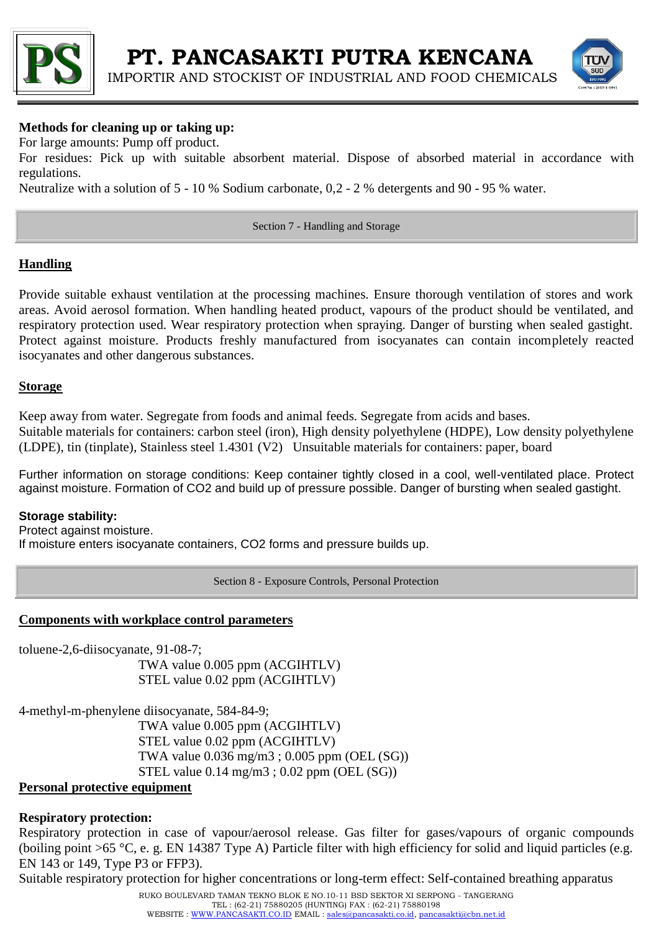



## **Methods for cleaning up or taking up:**

For large amounts: Pump off product.

For residues: Pick up with suitable absorbent material. Dispose of absorbed material in accordance with regulations.

Neutralize with a solution of 5 - 10 % Sodium carbonate, 0,2 - 2 % detergents and 90 - 95 % water.

Section 7 - Handling and Storage

## **Handling**

Provide suitable exhaust ventilation at the processing machines. Ensure thorough ventilation of stores and work areas. Avoid aerosol formation. When handling heated product, vapours of the product should be ventilated, and respiratory protection used. Wear respiratory protection when spraying. Danger of bursting when sealed gastight. Protect against moisture. Products freshly manufactured from isocyanates can contain incompletely reacted isocyanates and other dangerous substances.

## **Storage**

Keep away from water. Segregate from foods and animal feeds. Segregate from acids and bases. Suitable materials for containers: carbon steel (iron), High density polyethylene (HDPE), Low density polyethylene (LDPE), tin (tinplate), Stainless steel 1.4301 (V2) Unsuitable materials for containers: paper, board

Further information on storage conditions: Keep container tightly closed in a cool, well-ventilated place. Protect against moisture. Formation of CO2 and build up of pressure possible. Danger of bursting when sealed gastight.

## **Storage stability:**

Protect against moisture. If moisture enters isocyanate containers, CO2 forms and pressure builds up.

Section 8 - Exposure Controls, Personal Protection

## **Components with workplace control parameters**

toluene-2,6-diisocyanate, 91-08-7;

TWA value 0.005 ppm (ACGIHTLV) STEL value 0.02 ppm (ACGIHTLV)

4-methyl-m-phenylene diisocyanate, 584-84-9; TWA value 0.005 ppm (ACGIHTLV) STEL value 0.02 ppm (ACGIHTLV) TWA value 0.036 mg/m3 ; 0.005 ppm (OEL (SG)) STEL value  $0.14 \text{ mg/m}3$ ;  $0.02 \text{ ppm}$  (OEL (SG))

## **Personal protective equipment**

## **Respiratory protection:**

Respiratory protection in case of vapour/aerosol release. Gas filter for gases/vapours of organic compounds (boiling point >65 °C, e. g. EN 14387 Type A) Particle filter with high efficiency for solid and liquid particles (e.g. EN 143 or 149, Type P3 or FFP3).

Suitable respiratory protection for higher concentrations or long-term effect: Self-contained breathing apparatus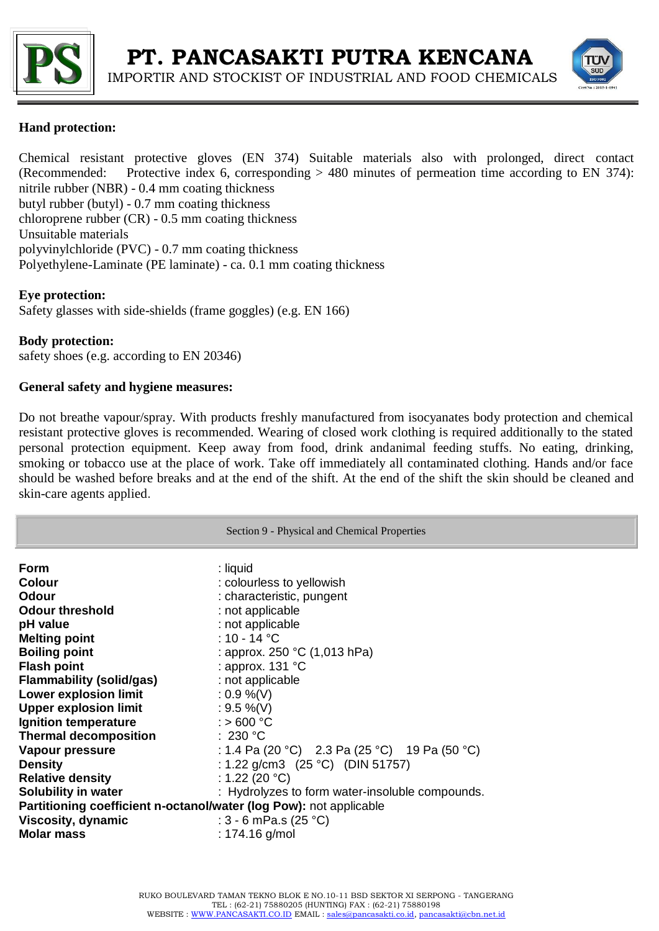



## **Hand protection:**

Chemical resistant protective gloves (EN 374) Suitable materials also with prolonged, direct contact (Recommended: Protective index 6, corresponding > 480 minutes of permeation time according to EN 374): nitrile rubber (NBR) - 0.4 mm coating thickness butyl rubber (butyl) - 0.7 mm coating thickness chloroprene rubber (CR) - 0.5 mm coating thickness Unsuitable materials polyvinylchloride (PVC) - 0.7 mm coating thickness Polyethylene-Laminate (PE laminate) - ca. 0.1 mm coating thickness

## **Eye protection:**

Safety glasses with side-shields (frame goggles) (e.g. EN 166)

## **Body protection:**

safety shoes (e.g. according to EN 20346)

## **General safety and hygiene measures:**

Do not breathe vapour/spray. With products freshly manufactured from isocyanates body protection and chemical resistant protective gloves is recommended. Wearing of closed work clothing is required additionally to the stated personal protection equipment. Keep away from food, drink andanimal feeding stuffs. No eating, drinking, smoking or tobacco use at the place of work. Take off immediately all contaminated clothing. Hands and/or face should be washed before breaks and at the end of the shift. At the end of the shift the skin should be cleaned and skin-care agents applied.

|                                                                                                                                                                                                      | Section 9 - Physical and Chemical Properties                                                                                                                                                            |
|------------------------------------------------------------------------------------------------------------------------------------------------------------------------------------------------------|---------------------------------------------------------------------------------------------------------------------------------------------------------------------------------------------------------|
| Form                                                                                                                                                                                                 | : liquid                                                                                                                                                                                                |
| <b>Colour</b>                                                                                                                                                                                        | : colourless to yellowish                                                                                                                                                                               |
| <b>Odour</b>                                                                                                                                                                                         | : characteristic, pungent                                                                                                                                                                               |
| <b>Odour threshold</b>                                                                                                                                                                               | : not applicable                                                                                                                                                                                        |
| pH value                                                                                                                                                                                             | : not applicable                                                                                                                                                                                        |
| <b>Melting point</b>                                                                                                                                                                                 | : 10 - 14 $^{\circ}$ C                                                                                                                                                                                  |
| <b>Boiling point</b>                                                                                                                                                                                 | : approx. 250 $^{\circ}$ C (1,013 hPa)                                                                                                                                                                  |
| <b>Flash point</b>                                                                                                                                                                                   | : approx. $131 °C$                                                                                                                                                                                      |
| <b>Flammability (solid/gas)</b>                                                                                                                                                                      | : not applicable                                                                                                                                                                                        |
| <b>Lower explosion limit</b>                                                                                                                                                                         | $: 0.9 %$ (V)                                                                                                                                                                                           |
| <b>Upper explosion limit</b>                                                                                                                                                                         | : $9.5 \%$ (V)                                                                                                                                                                                          |
| Ignition temperature                                                                                                                                                                                 | $:$ > 600 °C                                                                                                                                                                                            |
| <b>Thermal decomposition</b>                                                                                                                                                                         | :230 °C                                                                                                                                                                                                 |
| Vapour pressure<br><b>Density</b><br><b>Relative density</b><br>Solubility in water<br>Partitioning coefficient n-octanol/water (log Pow): not applicable<br>Viscosity, dynamic<br><b>Molar mass</b> | : 1.4 Pa (20 °C) 2.3 Pa (25 °C) 19 Pa (50 °C)<br>: 1.22 g/cm3 $(25 °C)$ (DIN 51757)<br>: 1.22 (20 °C)<br>: Hydrolyzes to form water-insoluble compounds.<br>: $3 - 6$ mPa.s (25 °C)<br>: $174.16$ g/mol |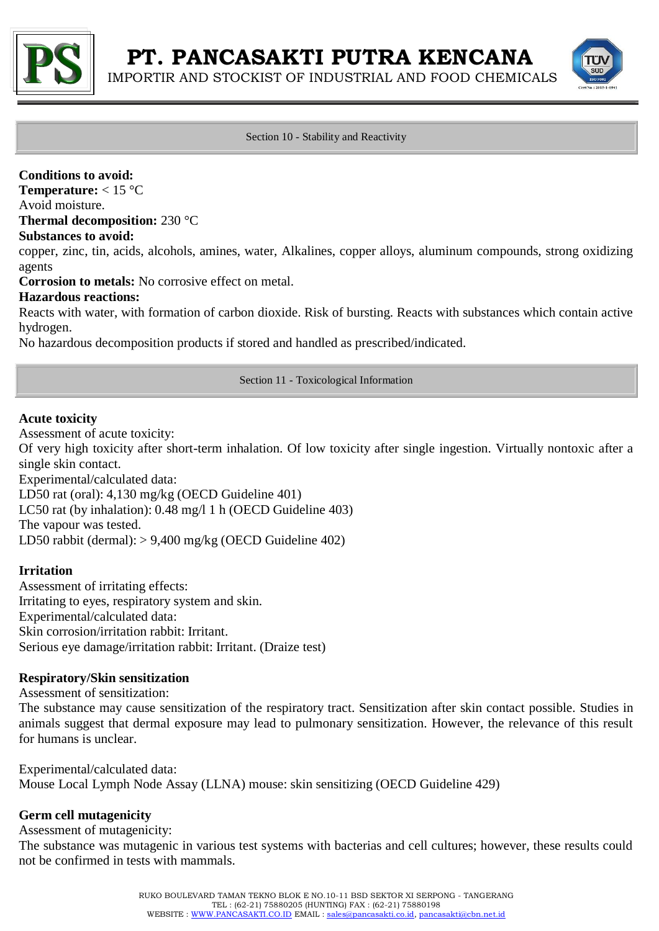

IMPORTIR AND STOCKIST OF INDUSTRIAL AND FOOD CHEMICALS



#### Section 10 - Stability and Reactivity

## **Conditions to avoid:**

**Temperature:** < 15 °C

Avoid moisture.

**Thermal decomposition:** 230 °C

#### **Substances to avoid:**

copper, zinc, tin, acids, alcohols, amines, water, Alkalines, copper alloys, aluminum compounds, strong oxidizing agents

**Corrosion to metals:** No corrosive effect on metal.

## **Hazardous reactions:**

Reacts with water, with formation of carbon dioxide. Risk of bursting. Reacts with substances which contain active hydrogen.

No hazardous decomposition products if stored and handled as prescribed/indicated.

Section 11 - Toxicological Information

## **Acute toxicity**

Assessment of acute toxicity:

Of very high toxicity after short-term inhalation. Of low toxicity after single ingestion. Virtually nontoxic after a single skin contact.

Experimental/calculated data: LD50 rat (oral): 4,130 mg/kg (OECD Guideline 401) LC50 rat (by inhalation): 0.48 mg/l 1 h (OECD Guideline 403) The vapour was tested. LD50 rabbit (dermal): > 9,400 mg/kg (OECD Guideline 402)

## **Irritation**

Assessment of irritating effects: Irritating to eyes, respiratory system and skin. Experimental/calculated data: Skin corrosion/irritation rabbit: Irritant. Serious eye damage/irritation rabbit: Irritant. (Draize test)

## **Respiratory/Skin sensitization**

Assessment of sensitization:

The substance may cause sensitization of the respiratory tract. Sensitization after skin contact possible. Studies in animals suggest that dermal exposure may lead to pulmonary sensitization. However, the relevance of this result for humans is unclear.

Experimental/calculated data: Mouse Local Lymph Node Assay (LLNA) mouse: skin sensitizing (OECD Guideline 429)

## **Germ cell mutagenicity**

Assessment of mutagenicity:

The substance was mutagenic in various test systems with bacterias and cell cultures; however, these results could not be confirmed in tests with mammals.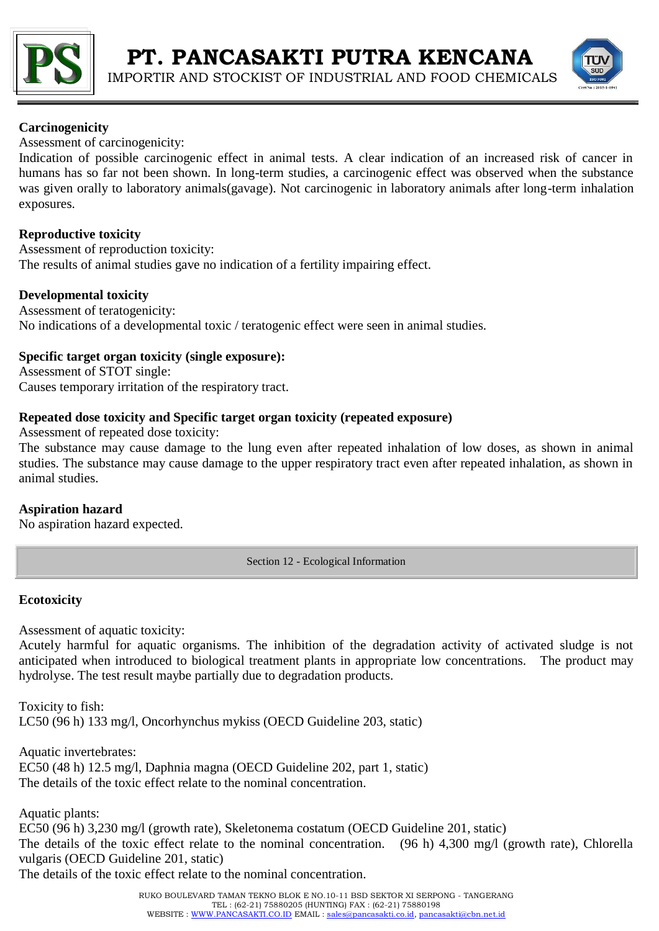



## **Carcinogenicity**

Assessment of carcinogenicity:

Indication of possible carcinogenic effect in animal tests. A clear indication of an increased risk of cancer in humans has so far not been shown. In long-term studies, a carcinogenic effect was observed when the substance was given orally to laboratory animals(gavage). Not carcinogenic in laboratory animals after long-term inhalation exposures.

## **Reproductive toxicity**

Assessment of reproduction toxicity: The results of animal studies gave no indication of a fertility impairing effect.

## **Developmental toxicity**

Assessment of teratogenicity: No indications of a developmental toxic / teratogenic effect were seen in animal studies.

## **Specific target organ toxicity (single exposure):**

Assessment of STOT single: Causes temporary irritation of the respiratory tract.

## **Repeated dose toxicity and Specific target organ toxicity (repeated exposure)**

Assessment of repeated dose toxicity:

The substance may cause damage to the lung even after repeated inhalation of low doses, as shown in animal studies. The substance may cause damage to the upper respiratory tract even after repeated inhalation, as shown in animal studies.

## **Aspiration hazard**

No aspiration hazard expected.

Section 12 - Ecological Information

## **Ecotoxicity**

Assessment of aquatic toxicity:

Acutely harmful for aquatic organisms. The inhibition of the degradation activity of activated sludge is not anticipated when introduced to biological treatment plants in appropriate low concentrations. The product may hydrolyse. The test result maybe partially due to degradation products.

Toxicity to fish: LC50 (96 h) 133 mg/l, Oncorhynchus mykiss (OECD Guideline 203, static)

Aquatic invertebrates: EC50 (48 h) 12.5 mg/l, Daphnia magna (OECD Guideline 202, part 1, static) The details of the toxic effect relate to the nominal concentration.

Aquatic plants:

EC50 (96 h) 3,230 mg/l (growth rate), Skeletonema costatum (OECD Guideline 201, static) The details of the toxic effect relate to the nominal concentration. (96 h) 4,300 mg/l (growth rate), Chlorella vulgaris (OECD Guideline 201, static)

The details of the toxic effect relate to the nominal concentration.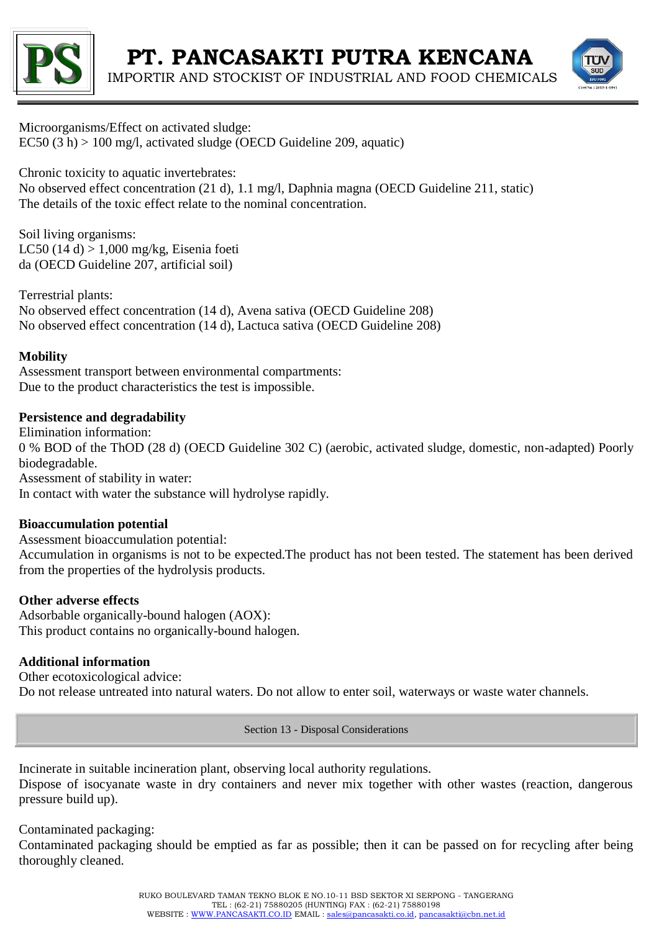



Microorganisms/Effect on activated sludge: EC50  $(3 h) > 100$  mg/l, activated sludge (OECD Guideline 209, aquatic)

Chronic toxicity to aquatic invertebrates:

No observed effect concentration (21 d), 1.1 mg/l, Daphnia magna (OECD Guideline 211, static) The details of the toxic effect relate to the nominal concentration.

Soil living organisms: LC50 (14 d) > 1,000 mg/kg, Eisenia foeti da (OECD Guideline 207, artificial soil)

Terrestrial plants: No observed effect concentration (14 d), Avena sativa (OECD Guideline 208) No observed effect concentration (14 d), Lactuca sativa (OECD Guideline 208)

## **Mobility**

Assessment transport between environmental compartments: Due to the product characteristics the test is impossible.

## **Persistence and degradability**

Elimination information: 0 % BOD of the ThOD (28 d) (OECD Guideline 302 C) (aerobic, activated sludge, domestic, non-adapted) Poorly biodegradable. Assessment of stability in water: In contact with water the substance will hydrolyse rapidly.

## **Bioaccumulation potential**

Assessment bioaccumulation potential: Accumulation in organisms is not to be expected.The product has not been tested. The statement has been derived from the properties of the hydrolysis products.

## **Other adverse effects**

Adsorbable organically-bound halogen (AOX): This product contains no organically-bound halogen.

## **Additional information**

Other ecotoxicological advice: Do not release untreated into natural waters. Do not allow to enter soil, waterways or waste water channels.

Section 13 - Disposal Considerations

Incinerate in suitable incineration plant, observing local authority regulations. Dispose of isocyanate waste in dry containers and never mix together with other wastes (reaction, dangerous pressure build up).

Contaminated packaging:

Contaminated packaging should be emptied as far as possible; then it can be passed on for recycling after being thoroughly cleaned.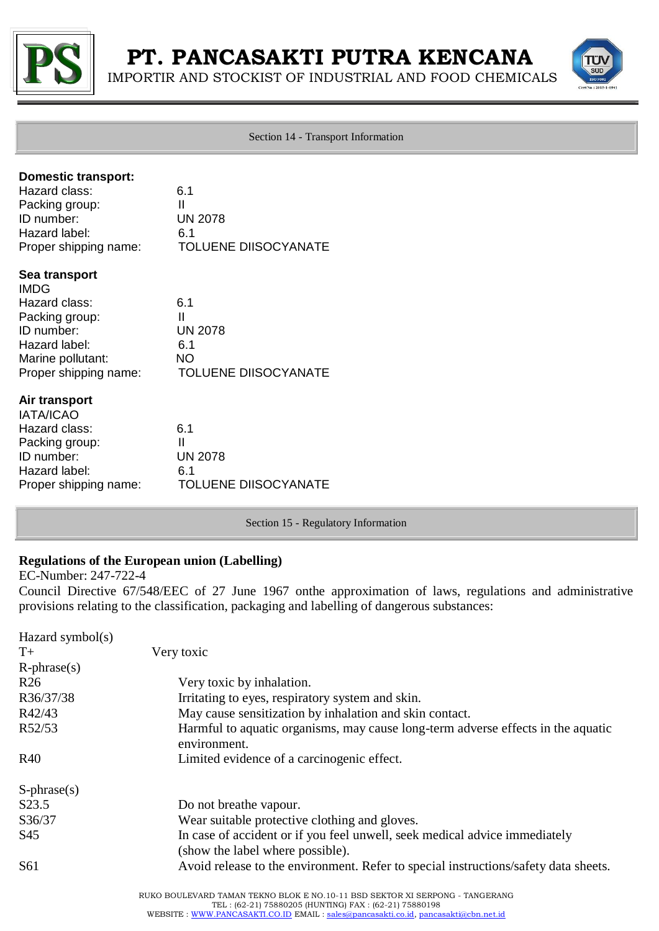

IMPORTIR AND STOCKIST OF INDUSTRIAL AND FOOD CHEMICALS



Section 14 - Transport Information

| <b>Domestic transport:</b>                 |                             |
|--------------------------------------------|-----------------------------|
| Hazard class:                              | 6.1<br>Ш                    |
| Packing group:<br>ID number:               | <b>UN 2078</b>              |
| Hazard label:                              | 6.1                         |
| Proper shipping name:                      | <b>TOLUENE DIISOCYANATE</b> |
| Sea transport                              |                             |
| <b>IMDG</b>                                |                             |
| Hazard class:                              | 6.1                         |
| Packing group:                             | $\mathbf{I}$                |
| ID number:                                 | <b>UN 2078</b>              |
| Hazard label:                              | 6.1<br><b>NO</b>            |
| Marine pollutant:<br>Proper shipping name: | <b>TOLUENE DIISOCYANATE</b> |
| Air transport                              |                             |
| <b>IATA/ICAO</b>                           |                             |
| Hazard class:                              | 6.1                         |
| Packing group:                             | $\mathbf{I}$                |
| ID number:                                 | <b>UN 2078</b>              |
| Hazard label:                              | 6.1                         |
| Proper shipping name:                      | <b>TOLUENE DIISOCYANATE</b> |

Section 15 - Regulatory Information

## **Regulations of the European union (Labelling)**

EC-Number: 247-722-4

Council Directive 67/548/EEC of 27 June 1967 onthe approximation of laws, regulations and administrative provisions relating to the classification, packaging and labelling of dangerous substances:

| Hazard symbol(s)   |                                                                                                  |
|--------------------|--------------------------------------------------------------------------------------------------|
| $T+$               | Very toxic                                                                                       |
| $R$ -phrase $(s)$  |                                                                                                  |
| R <sub>26</sub>    | Very toxic by inhalation.                                                                        |
| R36/37/38          | Irritating to eyes, respiratory system and skin.                                                 |
| R42/43             | May cause sensitization by inhalation and skin contact.                                          |
| R52/53             | Harmful to aquatic organisms, may cause long-term adverse effects in the aquatic<br>environment. |
| R40                | Limited evidence of a carcinogenic effect.                                                       |
| $S$ -phrase $(s)$  |                                                                                                  |
| S <sub>2</sub> 3.5 | Do not breathe vapour.                                                                           |
| S36/37             | Wear suitable protective clothing and gloves.                                                    |
| S45                | In case of accident or if you feel unwell, seek medical advice immediately                       |
|                    | (show the label where possible).                                                                 |
| S <sub>61</sub>    | Avoid release to the environment. Refer to special instructions/safety data sheets.              |
|                    | RUKO BOULEVARD TAMAN TEKNO BLOK E NO.10-11 BSD SEKTOR XI SERPONG - TANGERANG                     |